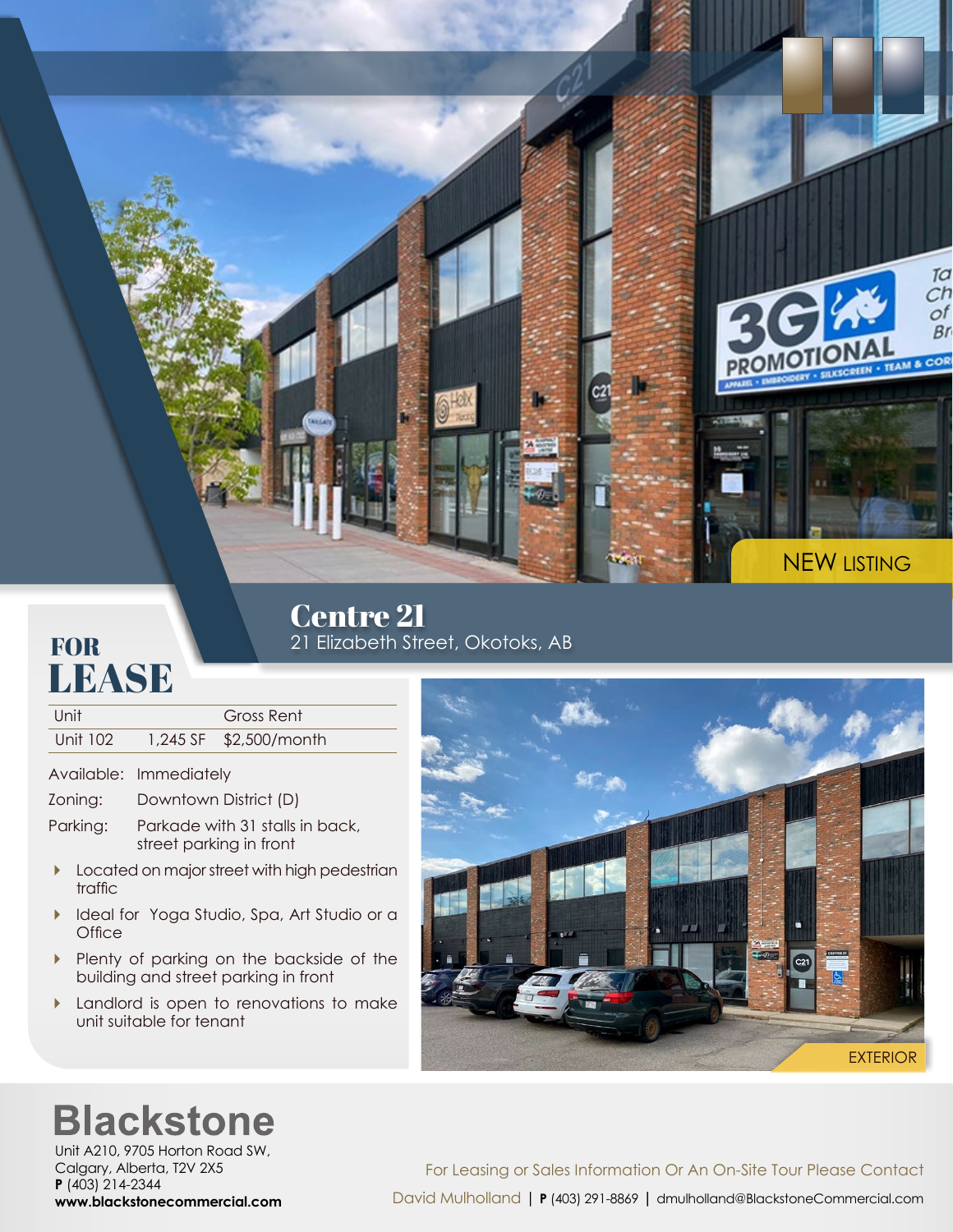

## **FOR LEASE**

Centre 21 21 Elizabeth Street, Okotoks, AB

| Unit :   | Gross Rent             |
|----------|------------------------|
| Unit 102 | 1,245 SF \$2,500/month |

Available: Immediately

- Zoning: Downtown District (D)
- Parking: Parkade with 31 stalls in back, street parking in front
- **Located on major street with high pedestrian** traffic
- Ideal for Yoga Studio, Spa, Art Studio or a **Office**
- Plenty of parking on the backside of the building and street parking in front
- **Landlord is open to renovations to make** unit suitable for tenant



## **Blackstone**

Unit A210, 9705 Horton Road SW, Calgary, Alberta, T2V 2X5 **P** (403) 214-2344 **www.blackstonecommercial.com**

For Leasing or Sales Information Or An On-Site Tour Please Contact David Mulholland | **P** (403) 291-8869 **|** dmulholland@BlackstoneCommercial.com